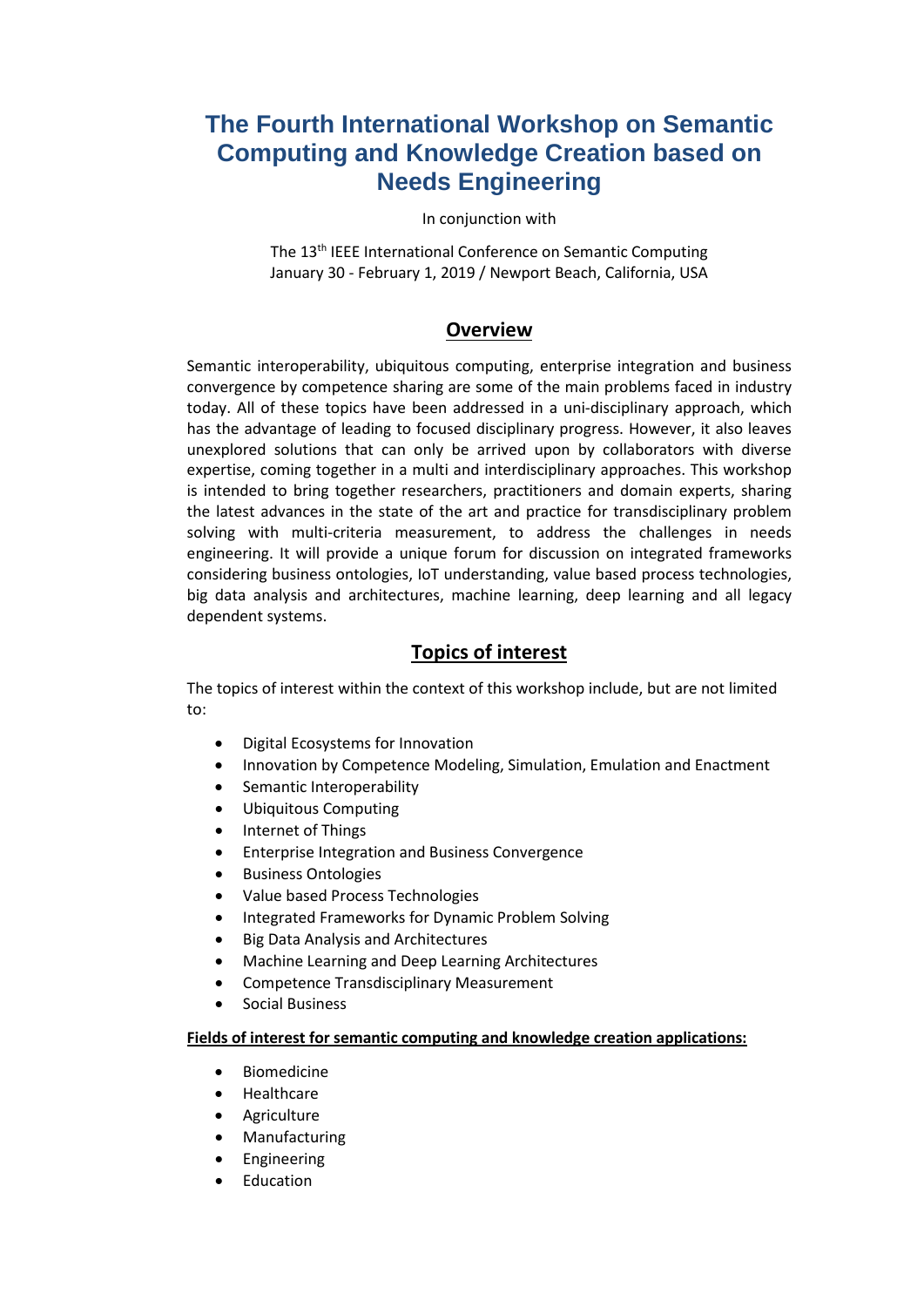# **The Fourth International Workshop on Semantic Computing and Knowledge Creation based on Needs Engineering**

#### In conjunction with

The 13<sup>th</sup> IEEE International Conference on Semantic Computing January 30 - February 1, 2019 / Newport Beach, California, USA

### **Overview**

Semantic interoperability, ubiquitous computing, enterprise integration and business convergence by competence sharing are some of the main problems faced in industry today. All of these topics have been addressed in a uni-disciplinary approach, which has the advantage of leading to focused disciplinary progress. However, it also leaves unexplored solutions that can only be arrived upon by collaborators with diverse expertise, coming together in a multi and interdisciplinary approaches. This workshop is intended to bring together researchers, practitioners and domain experts, sharing the latest advances in the state of the art and practice for transdisciplinary problem solving with multi-criteria measurement, to address the challenges in needs engineering. It will provide a unique forum for discussion on integrated frameworks considering business ontologies, IoT understanding, value based process technologies, big data analysis and architectures, machine learning, deep learning and all legacy dependent systems.

### **Topics of interest**

The topics of interest within the context of this workshop include, but are not limited to:

- Digital Ecosystems for Innovation
- Innovation by Competence Modeling, Simulation, Emulation and Enactment
- Semantic Interoperability
- Ubiquitous Computing
- Internet of Things
- Enterprise Integration and Business Convergence
- Business Ontologies
- Value based Process Technologies
- Integrated Frameworks for Dynamic Problem Solving
- Big Data Analysis and Architectures
- Machine Learning and Deep Learning Architectures
- Competence Transdisciplinary Measurement
- Social Business

#### **Fields of interest for semantic computing and knowledge creation applications:**

- Biomedicine
- **Healthcare**
- **Agriculture**
- Manufacturing
- **Engineering**
- **Education**